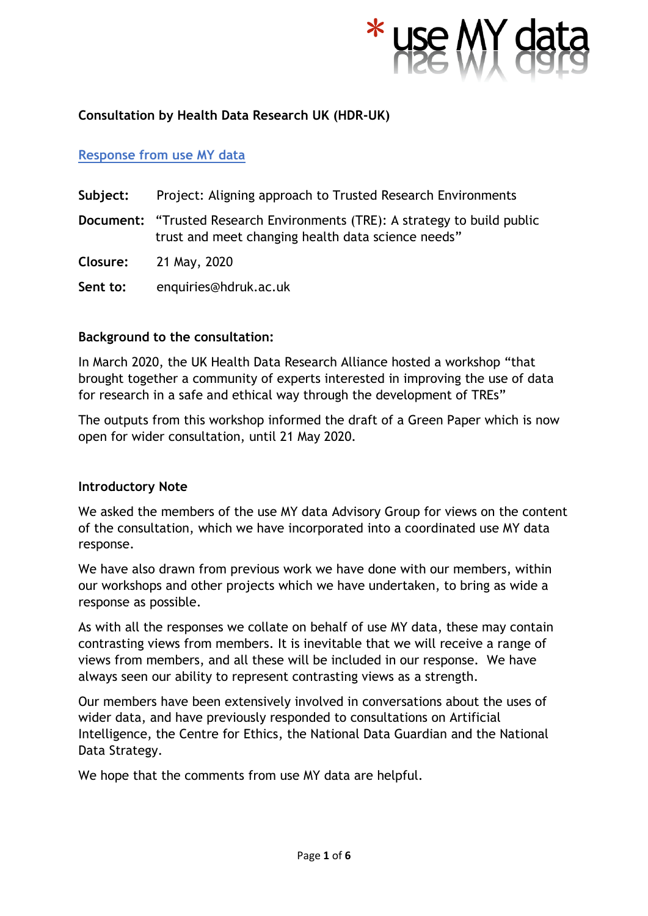

# **Consultation by Health Data Research UK (HDR-UK)**

## **Response from use MY data**

- **Subject:** Project: Aligning approach to Trusted Research Environments
- **Document:** "Trusted Research Environments (TRE): A strategy to build public trust and meet changing health data science needs"

**Closure:** 21 May, 2020

**Sent to:** enquiries@hdruk.ac.uk

### **Background to the consultation:**

In March 2020, the UK Health Data Research Alliance hosted a workshop "that brought together a community of experts interested in improving the use of data for research in a safe and ethical way through the development of TREs"

The outputs from this workshop informed the draft of a Green Paper which is now open for wider consultation, until 21 May 2020.

### **Introductory Note**

We asked the members of the use MY data Advisory Group for views on the content of the consultation, which we have incorporated into a coordinated use MY data response.

We have also drawn from previous work we have done with our members, within our workshops and other projects which we have undertaken, to bring as wide a response as possible.

As with all the responses we collate on behalf of use MY data, these may contain contrasting views from members. It is inevitable that we will receive a range of views from members, and all these will be included in our response. We have always seen our ability to represent contrasting views as a strength.

Our members have been extensively involved in conversations about the uses of wider data, and have previously responded to consultations on Artificial Intelligence, the Centre for Ethics, the National Data Guardian and the National Data Strategy.

We hope that the comments from use MY data are helpful.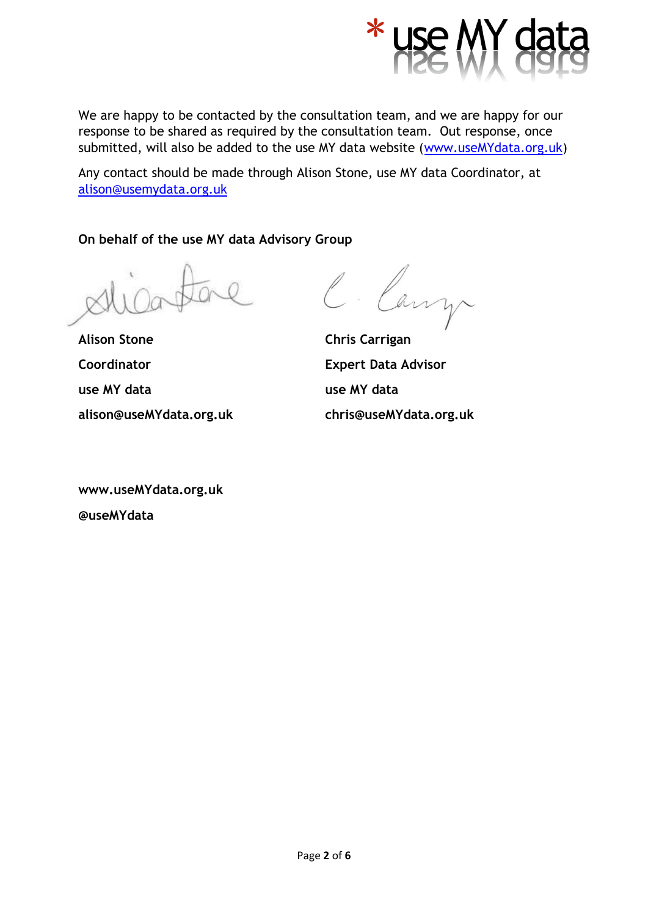

We are happy to be contacted by the consultation team, and we are happy for our response to be shared as required by the consultation team. Out response, once submitted, will also be added to the use MY data website [\(www.useMYdata.org.uk\)](http://www.usemydata.org.uk/)

Any contact should be made through Alison Stone, use MY data Coordinator, at [alison@usemydata.org.uk](mailto:alison@usemydata.org.uk)

**On behalf of the use MY data Advisory Group**

Canz

**Alison Stone Chris Carrigan Coordinator Expert Data Advisor use MY data use MY data alison@useMYdata.org.uk chris@useMYdata.org.uk**

**www.useMYdata.org.uk @useMYdata**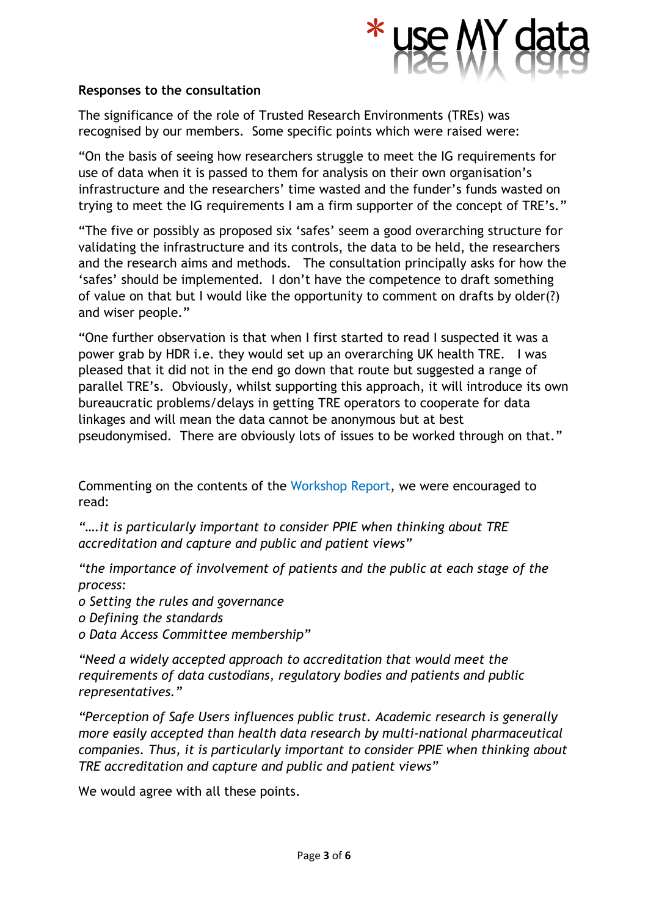

### **Responses to the consultation**

The significance of the role of Trusted Research Environments (TREs) was recognised by our members. Some specific points which were raised were:

"On the basis of seeing how researchers struggle to meet the IG requirements for use of data when it is passed to them for analysis on their own organisation's infrastructure and the researchers' time wasted and the funder's funds wasted on trying to meet the IG requirements I am a firm supporter of the concept of TRE's."

"The five or possibly as proposed six 'safes' seem a good overarching structure for validating the infrastructure and its controls, the data to be held, the researchers and the research aims and methods. The consultation principally asks for how the 'safes' should be implemented. I don't have the competence to draft something of value on that but I would like the opportunity to comment on drafts by older(?) and wiser people."

"One further observation is that when I first started to read I suspected it was a power grab by HDR i.e. they would set up an overarching UK health TRE. I was pleased that it did not in the end go down that route but suggested a range of parallel TRE's. Obviously, whilst supporting this approach, it will introduce its own bureaucratic problems/delays in getting TRE operators to cooperate for data linkages and will mean the data cannot be anonymous but at best pseudonymised. There are obviously lots of issues to be worked through on that."

Commenting on the contents of the Workshop Report, we were encouraged to read:

*"….it is particularly important to consider PPIE when thinking about TRE accreditation and capture and public and patient views"*

*"the importance of involvement of patients and the public at each stage of the process:* 

- *o Setting the rules and governance*
- *o Defining the standards*
- *o Data Access Committee membership"*

*"Need a widely accepted approach to accreditation that would meet the requirements of data custodians, regulatory bodies and patients and public representatives."*

*"Perception of Safe Users influences public trust. Academic research is generally more easily accepted than health data research by multi-national pharmaceutical companies. Thus, it is particularly important to consider PPIE when thinking about TRE accreditation and capture and public and patient views"*

We would agree with all these points.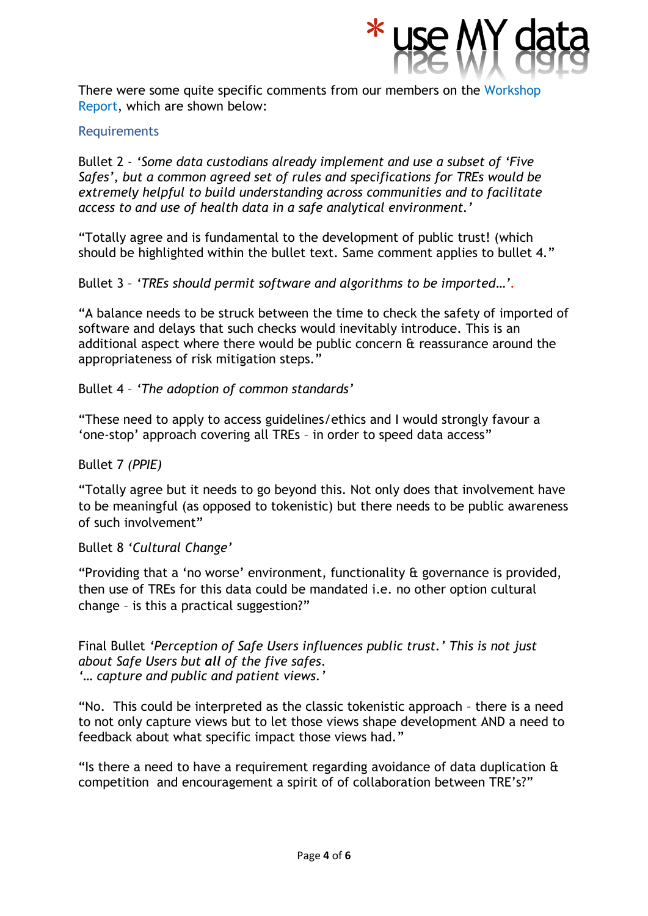

There were some quite specific comments from our members on the Workshop Report, which are shown below:

## Requirements

Bullet 2 - *'Some data custodians already implement and use a subset of 'Five Safes', but a common agreed set of rules and specifications for TREs would be extremely helpful to build understanding across communities and to facilitate access to and use of health data in a safe analytical environment.'* 

"Totally agree and is fundamental to the development of public trust! (which should be highlighted within the bullet text. Same comment applies to bullet 4."

Bullet 3 – *'TREs should permit software and algorithms to be imported…'.*

"A balance needs to be struck between the time to check the safety of imported of software and delays that such checks would inevitably introduce. This is an additional aspect where there would be public concern & reassurance around the appropriateness of risk mitigation steps."

Bullet 4 – *'The adoption of common standards'*

"These need to apply to access guidelines/ethics and I would strongly favour a 'one-stop' approach covering all TREs – in order to speed data access"

Bullet 7 *(PPIE)*

"Totally agree but it needs to go beyond this. Not only does that involvement have to be meaningful (as opposed to tokenistic) but there needs to be public awareness of such involvement"

Bullet 8 *'Cultural Change'*

"Providing that a 'no worse' environment, functionality & governance is provided, then use of TREs for this data could be mandated i.e. no other option cultural change – is this a practical suggestion?"

Final Bullet *'Perception of Safe Users influences public trust.' This is not just about Safe Users but all of the five safes. '… capture and public and patient views.'*

"No. This could be interpreted as the classic tokenistic approach – there is a need to not only capture views but to let those views shape development AND a need to feedback about what specific impact those views had."

"Is there a need to have a requirement regarding avoidance of data duplication & competition and encouragement a spirit of of collaboration between TRE's?"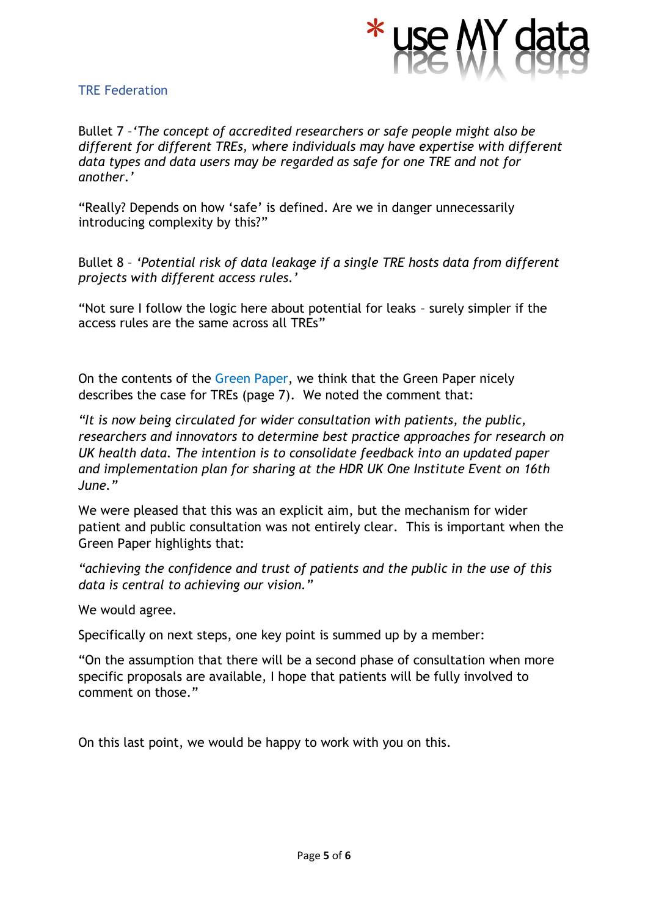

#### TRE Federation

Bullet 7 –*'The concept of accredited researchers or safe people might also be different for different TREs, where individuals may have expertise with different data types and data users may be regarded as safe for one TRE and not for another.'*

"Really? Depends on how 'safe' is defined. Are we in danger unnecessarily introducing complexity by this?"

Bullet 8 – *'Potential risk of data leakage if a single TRE hosts data from different projects with different access rules.'*

"Not sure I follow the logic here about potential for leaks – surely simpler if the access rules are the same across all TREs"

On the contents of the Green Paper, we think that the Green Paper nicely describes the case for TREs (page 7). We noted the comment that:

*"It is now being circulated for wider consultation with patients, the public, researchers and innovators to determine best practice approaches for research on UK health data. The intention is to consolidate feedback into an updated paper and implementation plan for sharing at the HDR UK One Institute Event on 16th June."*

We were pleased that this was an explicit aim, but the mechanism for wider patient and public consultation was not entirely clear. This is important when the Green Paper highlights that:

*"achieving the confidence and trust of patients and the public in the use of this data is central to achieving our vision."*

We would agree.

Specifically on next steps, one key point is summed up by a member:

"On the assumption that there will be a second phase of consultation when more specific proposals are available, I hope that patients will be fully involved to comment on those."

On this last point, we would be happy to work with you on this.